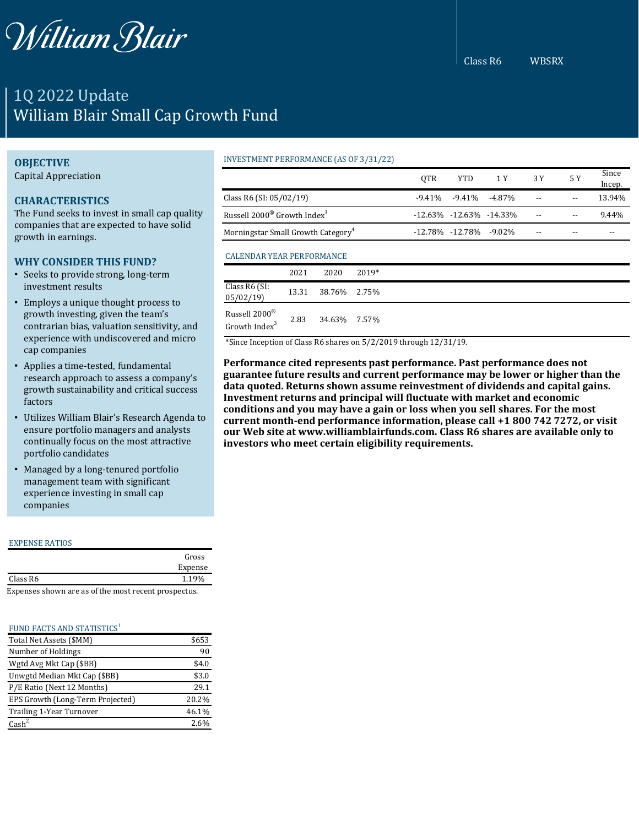

# 1Q 2022 Update William Blair Small Cap Growth Fund

# **OBJECTIVE**

Capital Appreciation

# **CHARACTERISTICS**

The Fund seeks to invest in small cap quality companies that are expected to have solid growth in earnings.

#### **WHY CONSIDER THIS FUND?**

- Seeks to provide strong, long-term investment results
- Employs a unique thought process to growth investing, given the team's contrarian bias, valuation sensitivity, and experience with undiscovered and micro cap companies
- Applies a time-tested, fundamental research approach to assess a company's growth sustainability and critical success factors
- Utilizes William Blair's Research Agenda to ensure portfolio managers and analysts continually focus on the most attractive portfolio candidates
- Managed by a long-tenured portfolio management team with significant experience investing in small cap companies

#### EXPENSE RATIOS

|                                                                        | Gross   |
|------------------------------------------------------------------------|---------|
|                                                                        | Expense |
| Class R6                                                               | 1.19%   |
| Romana a a a a baoine ana a a a futba ne a at neasceut nesa an a atria |         |

Expenses shown are as of the most recent prospectus.

#### FUND FACTS AND STATISTICS<sup>1</sup>

| Total Net Assets (\$MM)          | \$653 |
|----------------------------------|-------|
| Number of Holdings               | 90    |
| Wgtd Avg Mkt Cap (\$BB)          | \$4.0 |
| Unwgtd Median Mkt Cap (\$BB)     | \$3.0 |
| P/E Ratio (Next 12 Months)       | 29.1  |
| EPS Growth (Long-Term Projected) | 20.2% |
| Trailing 1-Year Turnover         | 46.1% |
| Cash <sup>2</sup>                | 2.6%  |

#### INVESTMENT PERFORMANCE (AS OF 3/31/22)

|                                                     |       |        |                             | <b>OTR</b>                   | <b>YTD</b> | 1 Y      | 3 Y | 5 Y   | Since<br>Incep. |
|-----------------------------------------------------|-------|--------|-----------------------------|------------------------------|------------|----------|-----|-------|-----------------|
| Class R6 (SI: $05/02/19$ )                          |       |        |                             | $-9.41%$                     | $-9.41%$   | $-4.87%$ |     |       | 13.94%          |
| Russell 2000 <sup>®</sup> Growth Index <sup>3</sup> |       |        |                             | $-12.63\% -12.63\% -14.33\%$ |            |          |     | 9.44% |                 |
| Morningstar Small Growth Category <sup>4</sup>      |       |        | $-12.78\% -12.78\% -9.02\%$ |                              |            |          |     |       |                 |
| CALENDAR YEAR PERFORMANCE                           |       |        |                             |                              |            |          |     |       |                 |
|                                                     | 2021  | 2020   | 2019*                       |                              |            |          |     |       |                 |
| Class R6 (SI:<br>05/02/19                           | 13.31 | 38.76% | 2.75%                       |                              |            |          |     |       |                 |
| Russell 2000®<br>Growth Index <sup>3</sup>          | 2.83  | 34.63% | 7.57%                       |                              |            |          |     |       |                 |

\*Since Inception of Class R6 shares on 5/2/2019 through 12/31/19.

**Performance cited represents past performance. Past performance does not guarantee future results and current performance may be lower or higher than the data quoted. Returns shown assume reinvestment of dividends and capital gains. Investment returns and principal will fluctuate with market and economic conditions and you may have a gain or loss when you sell shares. For the most current month-end performance information, please call +1 800 742 7272, or visit our Web site at www.williamblairfunds.com. Class R6 shares are available only to investors who meet certain eligibility requirements.**

Class R6 WBSRX